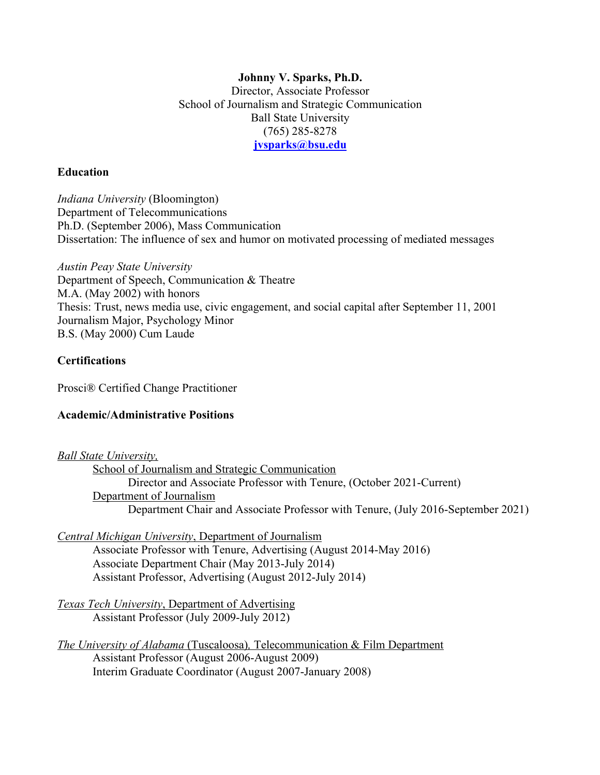#### **Johnny V. Sparks, Ph.D.** Director, Associate Professor School of Journalism and Strategic Communication Ball State University (765) 285-8278 **jvsparks@bsu.edu**

#### **Education**

*Indiana University* (Bloomington) Department of Telecommunications Ph.D. (September 2006), Mass Communication Dissertation: The influence of sex and humor on motivated processing of mediated messages

*Austin Peay State University*  Department of Speech, Communication & Theatre M.A. (May 2002) with honors Thesis: Trust, news media use, civic engagement, and social capital after September 11, 2001 Journalism Major, Psychology Minor B.S. (May 2000) Cum Laude

### **Certifications**

Prosci® Certified Change Practitioner

### **Academic/Administrative Positions**

*Ball State University,*

School of Journalism and Strategic Communication Director and Associate Professor with Tenure, (October 2021-Current) Department of Journalism Department Chair and Associate Professor with Tenure, (July 2016-September 2021)

*Central Michigan University*, Department of Journalism Associate Professor with Tenure, Advertising (August 2014-May 2016) Associate Department Chair (May 2013-July 2014) Assistant Professor, Advertising (August 2012-July 2014)

*Texas Tech University*, Department of Advertising Assistant Professor (July 2009-July 2012)

*The University of Alabama* (Tuscaloosa)*,* Telecommunication & Film Department Assistant Professor (August 2006-August 2009) Interim Graduate Coordinator (August 2007-January 2008)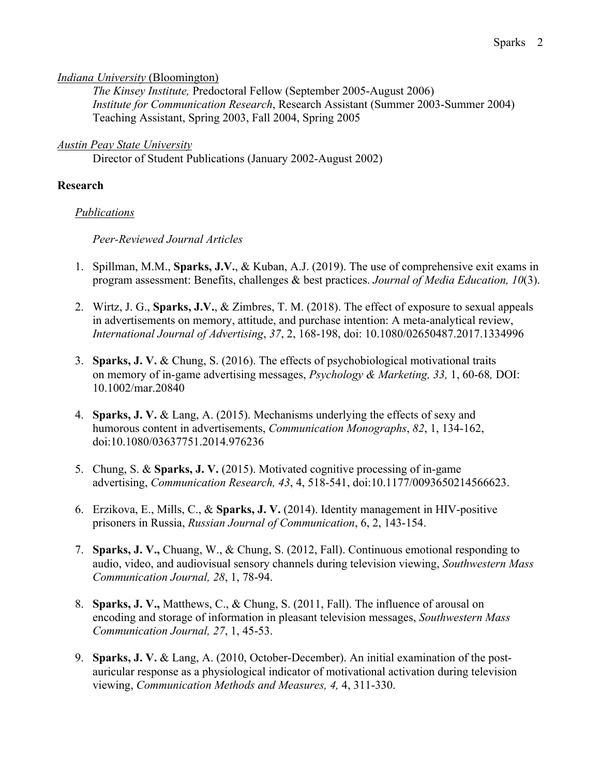#### *Indiana University* (Bloomington)

*The Kinsey Institute,* Predoctoral Fellow (September 2005-August 2006) *Institute for Communication Research*, Research Assistant (Summer 2003-Summer 2004) Teaching Assistant, Spring 2003, Fall 2004, Spring 2005

#### *Austin Peay State University*

Director of Student Publications (January 2002-August 2002)

#### **Research**

#### *Publications*

#### *Peer-Reviewed Journal Articles*

- 1. Spillman, M.M., **Sparks, J.V.**, & Kuban, A.J. (2019). The use of comprehensive exit exams in program assessment: Benefits, challenges & best practices. *Journal of Media Education, 10*(3).
- 2. Wirtz, J. G., **Sparks, J.V.**, & Zimbres, T. M. (2018). The effect of exposure to sexual appeals in advertisements on memory, attitude, and purchase intention: A meta-analytical review, *International Journal of Advertising*, *37*, 2, 168-198, doi: 10.1080/02650487.2017.1334996
- 3. **Sparks, J. V.** & Chung, S. (2016). The effects of psychobiological motivational traits on memory of in-game advertising messages, *Psychology & Marketing, 33,* 1, 60-68*,* DOI: 10.1002/mar.20840
- 4. **Sparks, J. V.** & Lang, A. (2015). Mechanisms underlying the effects of sexy and humorous content in advertisements, *Communication Monographs*, *82*, 1, 134-162, doi:10.1080/03637751.2014.976236
- 5. Chung, S. & **Sparks, J. V.** (2015). Motivated cognitive processing of in-game advertising, *Communication Research, 43*, 4, 518-541, doi:10.1177/0093650214566623.
- 6. Erzikova, E., Mills, C., & **Sparks, J. V.** (2014). Identity management in HIV-positive prisoners in Russia, *Russian Journal of Communication*, 6, 2, 143-154.
- 7. **Sparks, J. V.,** Chuang, W., & Chung, S. (2012, Fall). Continuous emotional responding to audio, video, and audiovisual sensory channels during television viewing, *Southwestern Mass Communication Journal, 28*, 1, 78-94.
- 8. **Sparks, J. V.,** Matthews, C., & Chung, S. (2011, Fall). The influence of arousal on encoding and storage of information in pleasant television messages, *Southwestern Mass Communication Journal, 27*, 1, 45-53.
- 9. **Sparks, J. V.** & Lang, A. (2010, October-December). An initial examination of the postauricular response as a physiological indicator of motivational activation during television viewing, *Communication Methods and Measures, 4,* 4, 311-330.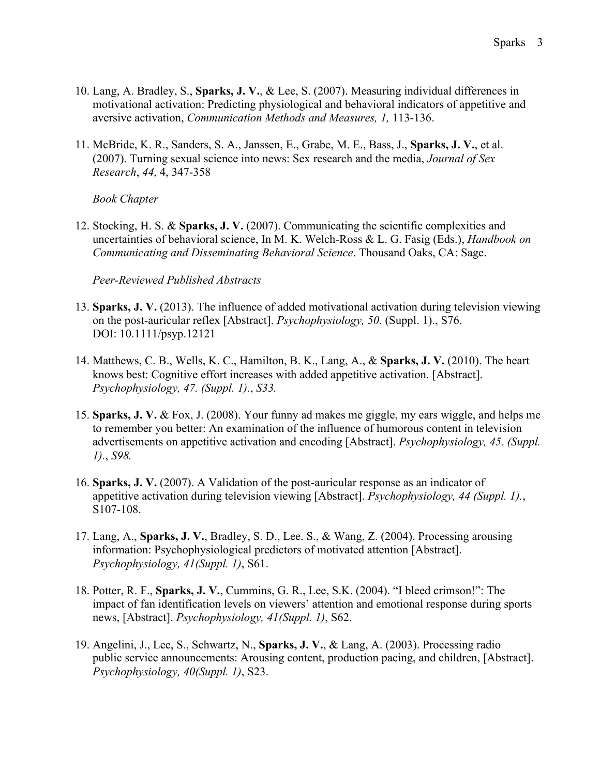- 10. Lang, A. Bradley, S., **Sparks, J. V.**, & Lee, S. (2007). Measuring individual differences in motivational activation: Predicting physiological and behavioral indicators of appetitive and aversive activation, *Communication Methods and Measures, 1,* 113-136.
- 11. McBride, K. R., Sanders, S. A., Janssen, E., Grabe, M. E., Bass, J., **Sparks, J. V.**, et al. (2007). Turning sexual science into news: Sex research and the media, *Journal of Sex Research*, *44*, 4, 347-358

*Book Chapter*

12. Stocking, H. S. & **Sparks, J. V.** (2007). Communicating the scientific complexities and uncertainties of behavioral science, In M. K. Welch-Ross & L. G. Fasig (Eds.), *Handbook on Communicating and Disseminating Behavioral Science*. Thousand Oaks, CA: Sage.

*Peer-Reviewed Published Abstracts*

- 13. **Sparks, J. V.** (2013). The influence of added motivational activation during television viewing on the post-auricular reflex [Abstract]. *Psychophysiology, 50*. (Suppl. 1)., S76. DOI: 10.1111/psyp.12121
- 14. Matthews, C. B., Wells, K. C., Hamilton, B. K., Lang, A., & **Sparks, J. V.** (2010). The heart knows best: Cognitive effort increases with added appetitive activation. [Abstract]. *Psychophysiology, 47. (Suppl. 1).*, *S33.*
- 15. **Sparks, J. V.** & Fox, J. (2008). Your funny ad makes me giggle, my ears wiggle, and helps me to remember you better: An examination of the influence of humorous content in television advertisements on appetitive activation and encoding [Abstract]. *Psychophysiology, 45. (Suppl. 1).*, *S98.*
- 16. **Sparks, J. V.** (2007). A Validation of the post-auricular response as an indicator of appetitive activation during television viewing [Abstract]. *Psychophysiology, 44 (Suppl. 1).*, S107-108.
- 17. Lang, A., **Sparks, J. V.**, Bradley, S. D., Lee. S., & Wang, Z. (2004). Processing arousing information: Psychophysiological predictors of motivated attention [Abstract]. *Psychophysiology, 41(Suppl. 1)*, S61.
- 18. Potter, R. F., **Sparks, J. V.**, Cummins, G. R., Lee, S.K. (2004). "I bleed crimson!": The impact of fan identification levels on viewers' attention and emotional response during sports news, [Abstract]. *Psychophysiology, 41(Suppl. 1)*, S62.
- 19. Angelini, J., Lee, S., Schwartz, N., **Sparks, J. V.**, & Lang, A. (2003). Processing radio public service announcements: Arousing content, production pacing, and children, [Abstract]. *Psychophysiology, 40(Suppl. 1)*, S23.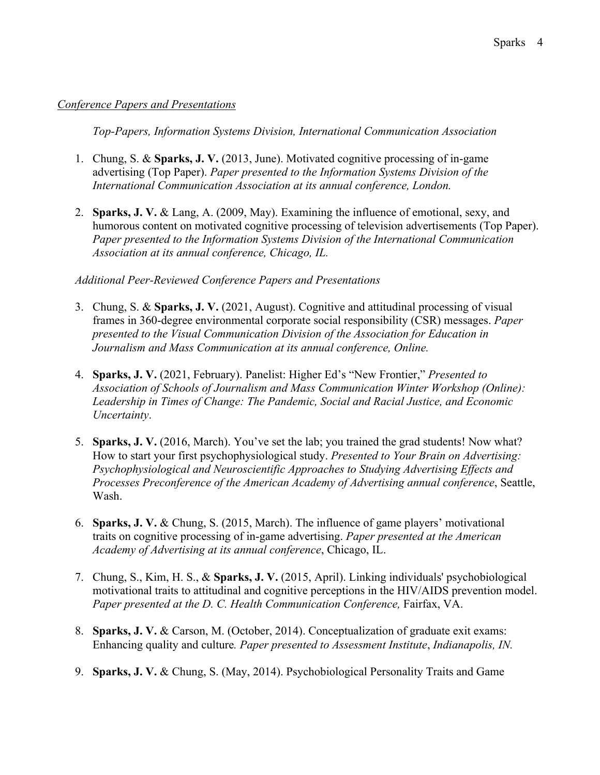#### *Conference Papers and Presentations*

*Top-Papers, Information Systems Division, International Communication Association* 

- 1. Chung, S. & **Sparks, J. V.** (2013, June). Motivated cognitive processing of in-game advertising (Top Paper). *Paper presented to the Information Systems Division of the International Communication Association at its annual conference, London.*
- 2. **Sparks, J. V.** & Lang, A. (2009, May). Examining the influence of emotional, sexy, and humorous content on motivated cognitive processing of television advertisements (Top Paper). *Paper presented to the Information Systems Division of the International Communication Association at its annual conference, Chicago, IL.*

#### *Additional Peer-Reviewed Conference Papers and Presentations*

- 3. Chung, S. & **Sparks, J. V.** (2021, August). Cognitive and attitudinal processing of visual frames in 360-degree environmental corporate social responsibility (CSR) messages. *Paper presented to the Visual Communication Division of the Association for Education in Journalism and Mass Communication at its annual conference, Online.*
- 4. **Sparks, J. V.** (2021, February). Panelist: Higher Ed's "New Frontier," *Presented to Association of Schools of Journalism and Mass Communication Winter Workshop (Online): Leadership in Times of Change: The Pandemic, Social and Racial Justice, and Economic Uncertainty*.
- 5. **Sparks, J. V.** (2016, March). You've set the lab; you trained the grad students! Now what? How to start your first psychophysiological study. *Presented to Your Brain on Advertising: Psychophysiological and Neuroscientific Approaches to Studying Advertising Effects and Processes Preconference of the American Academy of Advertising annual conference*, Seattle, Wash.
- 6. **Sparks, J. V.** & Chung, S. (2015, March). The influence of game players' motivational traits on cognitive processing of in-game advertising. *Paper presented at the American Academy of Advertising at its annual conference*, Chicago, IL.
- 7. Chung, S., Kim, H. S., & **Sparks, J. V.** (2015, April). Linking individuals' psychobiological motivational traits to attitudinal and cognitive perceptions in the HIV/AIDS prevention model. *Paper presented at the D. C. Health Communication Conference,* Fairfax, VA.
- 8. **Sparks, J. V.** & Carson, M. (October, 2014). Conceptualization of graduate exit exams: Enhancing quality and culture*. Paper presented to Assessment Institute*, *Indianapolis, IN.*
- 9. **Sparks, J. V.** & Chung, S. (May, 2014). Psychobiological Personality Traits and Game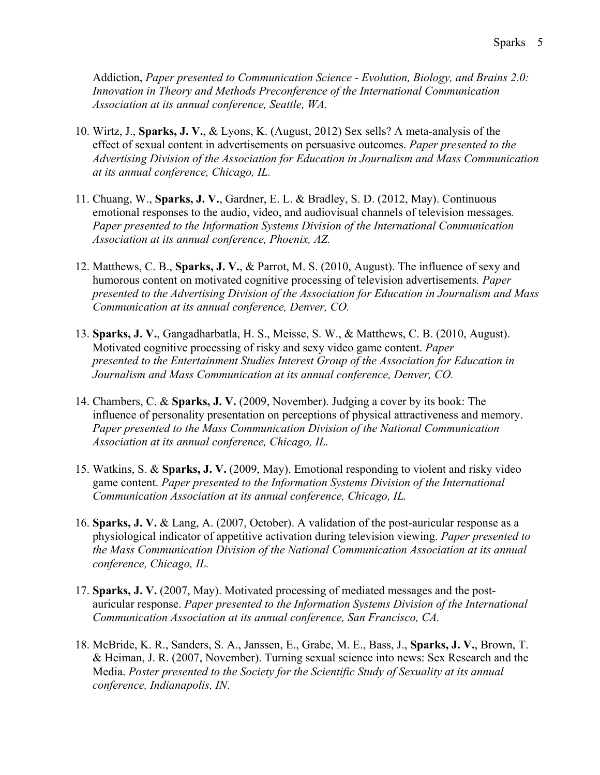Addiction, *Paper presented to Communication Science - Evolution, Biology, and Brains 2.0: Innovation in Theory and Methods Preconference of the International Communication Association at its annual conference, Seattle, WA.*

- 10. Wirtz, J., **Sparks, J. V.**, & Lyons, K. (August, 2012) Sex sells? A meta-analysis of the effect of sexual content in advertisements on persuasive outcomes. *Paper presented to the Advertising Division of the Association for Education in Journalism and Mass Communication at its annual conference, Chicago, IL.*
- 11. Chuang, W., **Sparks, J. V.**, Gardner, E. L. & Bradley, S. D. (2012, May). Continuous emotional responses to the audio, video, and audiovisual channels of television messages*. Paper presented to the Information Systems Division of the International Communication Association at its annual conference, Phoenix, AZ.*
- 12. Matthews, C. B., **Sparks, J. V.**, & Parrot, M. S. (2010, August). The influence of sexy and humorous content on motivated cognitive processing of television advertisements*. Paper presented to the Advertising Division of the Association for Education in Journalism and Mass Communication at its annual conference, Denver, CO.*
- 13. **Sparks, J. V.**, Gangadharbatla, H. S., Meisse, S. W., & Matthews, C. B. (2010, August). Motivated cognitive processing of risky and sexy video game content. *Paper presented to the Entertainment Studies Interest Group of the Association for Education in Journalism and Mass Communication at its annual conference, Denver, CO.*
- 14. Chambers, C. & **Sparks, J. V.** (2009, November). Judging a cover by its book: The influence of personality presentation on perceptions of physical attractiveness and memory. *Paper presented to the Mass Communication Division of the National Communication Association at its annual conference, Chicago, IL.*
- 15. Watkins, S. & **Sparks, J. V.** (2009, May). Emotional responding to violent and risky video game content. *Paper presented to the Information Systems Division of the International Communication Association at its annual conference, Chicago, IL.*
- 16. **Sparks, J. V.** & Lang, A. (2007, October). A validation of the post-auricular response as a physiological indicator of appetitive activation during television viewing. *Paper presented to the Mass Communication Division of the National Communication Association at its annual conference, Chicago, IL.*
- 17. **Sparks, J. V.** (2007, May). Motivated processing of mediated messages and the postauricular response. *Paper presented to the Information Systems Division of the International Communication Association at its annual conference, San Francisco, CA.*
- 18. McBride, K. R., Sanders, S. A., Janssen, E., Grabe, M. E., Bass, J., **Sparks, J. V.**, Brown, T. & Heiman, J. R. (2007, November). Turning sexual science into news: Sex Research and the Media. *Poster presented to the Society for the Scientific Study of Sexuality at its annual conference, Indianapolis, IN*.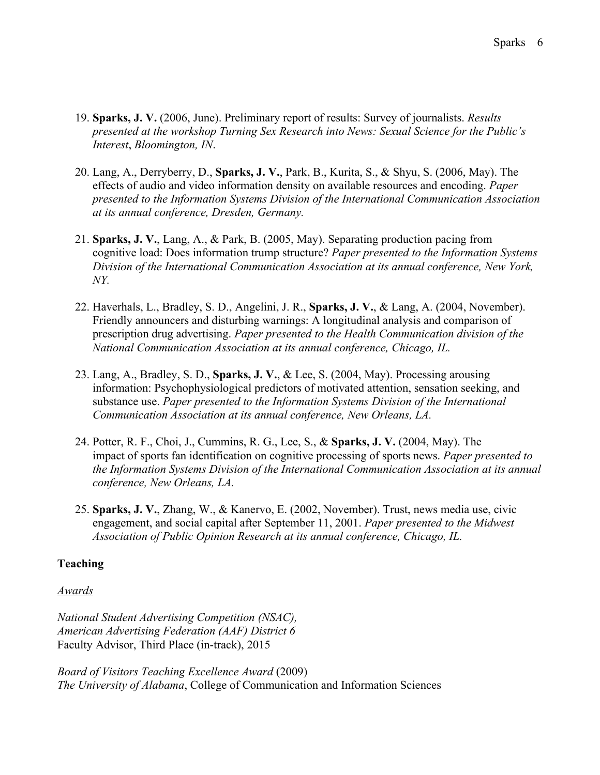- 19. **Sparks, J. V.** (2006, June). Preliminary report of results: Survey of journalists. *Results presented at the workshop Turning Sex Research into News: Sexual Science for the Public's Interest*, *Bloomington, IN*.
- 20. Lang, A., Derryberry, D., **Sparks, J. V.**, Park, B., Kurita, S., & Shyu, S. (2006, May). The effects of audio and video information density on available resources and encoding. *Paper presented to the Information Systems Division of the International Communication Association at its annual conference, Dresden, Germany.*
- 21. **Sparks, J. V.**, Lang, A., & Park, B. (2005, May). Separating production pacing from cognitive load: Does information trump structure? *Paper presented to the Information Systems Division of the International Communication Association at its annual conference, New York, NY.*
- 22. Haverhals, L., Bradley, S. D., Angelini, J. R., **Sparks, J. V.**, & Lang, A. (2004, November). Friendly announcers and disturbing warnings: A longitudinal analysis and comparison of prescription drug advertising. *Paper presented to the Health Communication division of the National Communication Association at its annual conference, Chicago, IL.*
- 23. Lang, A., Bradley, S. D., **Sparks, J. V.**, & Lee, S. (2004, May). Processing arousing information: Psychophysiological predictors of motivated attention, sensation seeking, and substance use. *Paper presented to the Information Systems Division of the International Communication Association at its annual conference, New Orleans, LA.*
- 24. Potter, R. F., Choi, J., Cummins, R. G., Lee, S., & **Sparks, J. V.** (2004, May). The impact of sports fan identification on cognitive processing of sports news. *Paper presented to the Information Systems Division of the International Communication Association at its annual conference, New Orleans, LA.*
- 25. **Sparks, J. V.**, Zhang, W., & Kanervo, E. (2002, November). Trust, news media use, civic engagement, and social capital after September 11, 2001. *Paper presented to the Midwest Association of Public Opinion Research at its annual conference, Chicago, IL.*

# **Teaching**

### *Awards*

*National Student Advertising Competition (NSAC), American Advertising Federation (AAF) District 6* Faculty Advisor, Third Place (in-track), 2015

*Board of Visitors Teaching Excellence Award* (2009) *The University of Alabama*, College of Communication and Information Sciences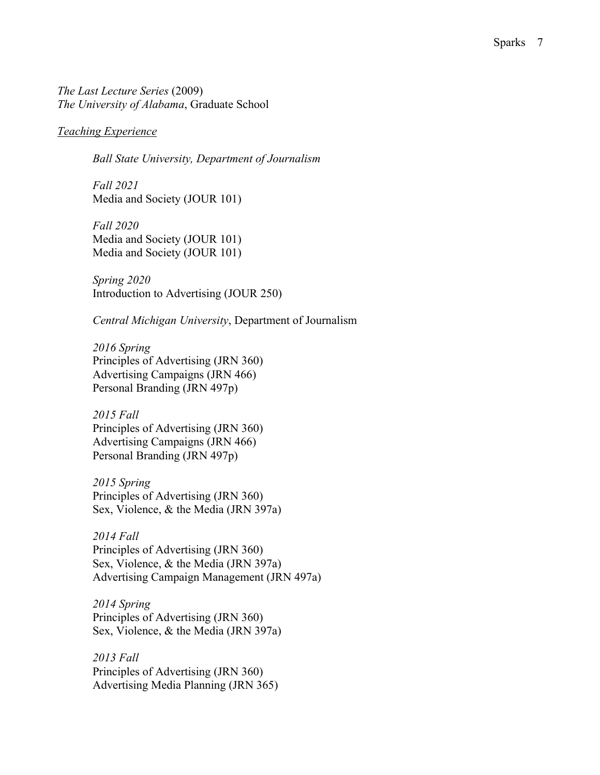#### *Teaching Experience*

*Ball State University, Department of Journalism*

*Fall 2021* Media and Society (JOUR 101)

*Fall 2020* Media and Society (JOUR 101) Media and Society (JOUR 101)

*Spring 2020* Introduction to Advertising (JOUR 250)

*Central Michigan University*, Department of Journalism

*2016 Spring* Principles of Advertising (JRN 360) Advertising Campaigns (JRN 466) Personal Branding (JRN 497p)

*2015 Fall* Principles of Advertising (JRN 360) Advertising Campaigns (JRN 466) Personal Branding (JRN 497p)

*2015 Spring*  Principles of Advertising (JRN 360) Sex, Violence, & the Media (JRN 397a)

*2014 Fall* Principles of Advertising (JRN 360) Sex, Violence, & the Media (JRN 397a) Advertising Campaign Management (JRN 497a)

*2014 Spring* Principles of Advertising (JRN 360) Sex, Violence, & the Media (JRN 397a)

*2013 Fall* Principles of Advertising (JRN 360) Advertising Media Planning (JRN 365)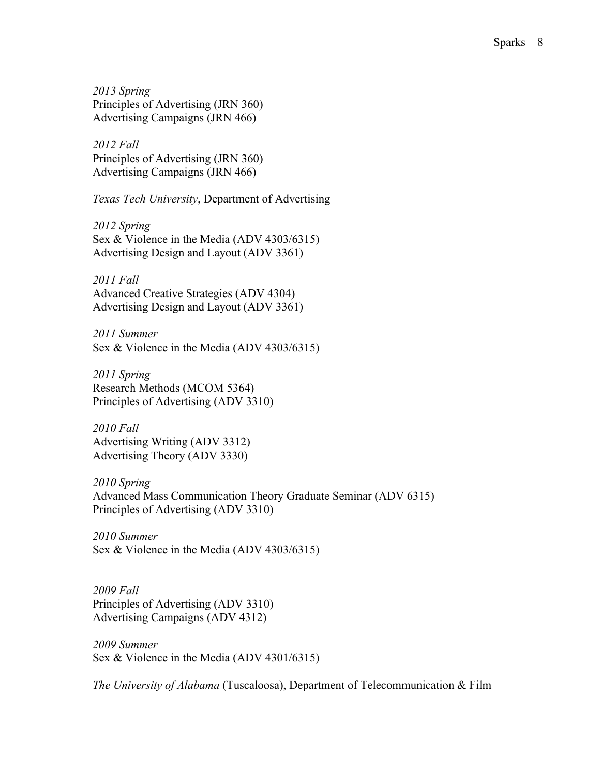*2013 Spring* Principles of Advertising (JRN 360) Advertising Campaigns (JRN 466)

*2012 Fall*  Principles of Advertising (JRN 360) Advertising Campaigns (JRN 466)

*Texas Tech University*, Department of Advertising

*2012 Spring*  Sex & Violence in the Media (ADV 4303/6315) Advertising Design and Layout (ADV 3361)

*2011 Fall*  Advanced Creative Strategies (ADV 4304) Advertising Design and Layout (ADV 3361)

*2011 Summer* Sex & Violence in the Media (ADV 4303/6315)

*2011 Spring* Research Methods (MCOM 5364) Principles of Advertising (ADV 3310)

*2010 Fall* Advertising Writing (ADV 3312) Advertising Theory (ADV 3330)

*2010 Spring* Advanced Mass Communication Theory Graduate Seminar (ADV 6315) Principles of Advertising (ADV 3310)

*2010 Summer* Sex & Violence in the Media (ADV 4303/6315)

*2009 Fall* Principles of Advertising (ADV 3310) Advertising Campaigns (ADV 4312)

*2009 Summer* Sex & Violence in the Media (ADV 4301/6315)

*The University of Alabama* (Tuscaloosa), Department of Telecommunication & Film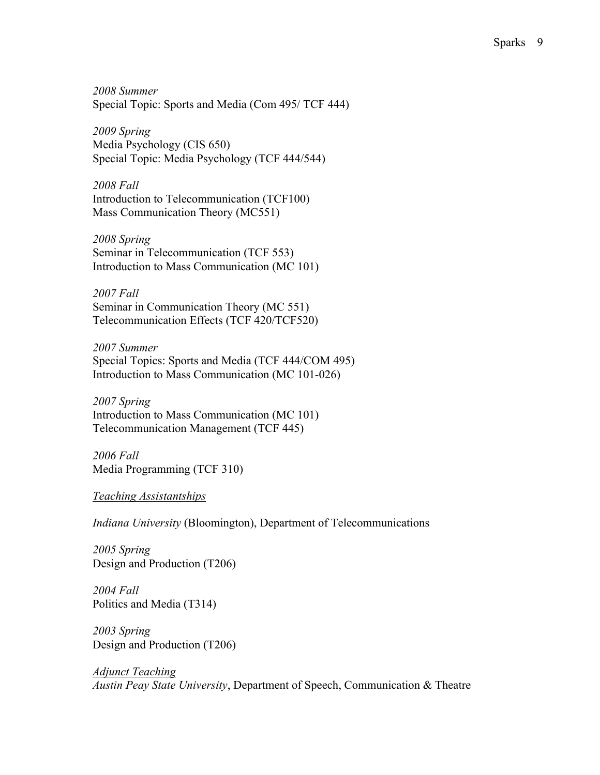*2008 Summer*  Special Topic: Sports and Media (Com 495/ TCF 444)

*2009 Spring*  Media Psychology (CIS 650) Special Topic: Media Psychology (TCF 444/544)

*2008 Fall*  Introduction to Telecommunication (TCF100) Mass Communication Theory (MC551)

*2008 Spring* Seminar in Telecommunication (TCF 553) Introduction to Mass Communication (MC 101)

*2007 Fall*  Seminar in Communication Theory (MC 551) Telecommunication Effects (TCF 420/TCF520)

*2007 Summer*  Special Topics: Sports and Media (TCF 444/COM 495) Introduction to Mass Communication (MC 101-026)

*2007 Spring* Introduction to Mass Communication (MC 101) Telecommunication Management (TCF 445)

*2006 Fall*  Media Programming (TCF 310)

*Teaching Assistantships*

*Indiana University* (Bloomington), Department of Telecommunications

*2005 Spring*  Design and Production (T206)

*2004 Fall* Politics and Media (T314)

*2003 Spring* Design and Production (T206)

*Adjunct Teaching Austin Peay State University*, Department of Speech, Communication & Theatre